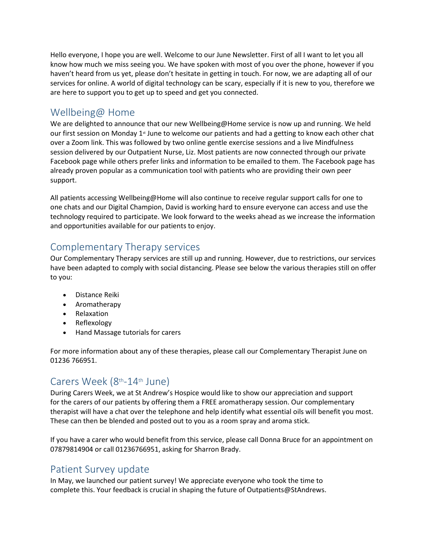Hello everyone, I hope you are well. Welcome to our June Newsletter. First of all I want to let you all know how much we miss seeing you. We have spoken with most of you over the phone, however if you haven't heard from us yet, please don't hesitate in getting in touch. For now, we are adapting all of our services for online. A world of digital technology can be scary, especially if it is new to you, therefore we are here to support you to get up to speed and get you connected.

## Wellbeing@ Home

We are delighted to announce that our new Wellbeing@Home service is now up and running. We held our first session on Monday  $1<sup>*</sup>$  June to welcome our patients and had a getting to know each other chat over a Zoom link. This was followed by two online gentle exercise sessions and a live Mindfulness session delivered by our Outpatient Nurse, Liz. Most patients are now connected through our private Facebook page while others prefer links and information to be emailed to them. The Facebook page has already proven popular as a communication tool with patients who are providing their own peer support.

All patients accessing Wellbeing@Home will also continue to receive regular support calls for one to one chats and our Digital Champion, David is working hard to ensure everyone can access and use the technology required to participate. We look forward to the weeks ahead as we increase the information and opportunities available for our patients to enjoy.

## Complementary Therapy services

Our Complementary Therapy services are still up and running. However, due to restrictions, our services have been adapted to comply with social distancing. Please see below the various therapies still on offer to you:

- Distance Reiki
- Aromatherapy
- Relaxation
- Reflexology
- Hand Massage tutorials for carers

For more information about any of these therapies, please call our Complementary Therapist June on 01236 766951.

# Carers Week (8<sup>th</sup>-14<sup>th</sup> June)

During Carers Week, we at St Andrew's Hospice would like to show our appreciation and support for the carers of our patients by offering them a FREE aromatherapy session. Our complementary therapist will have a chat over the telephone and help identify what essential oils will benefit you most. These can then be blended and posted out to you as a room spray and aroma stick.

If you have a carer who would benefit from this service, please call Donna Bruce for an appointment on 07879814904 or call 01236766951, asking for Sharron Brady.

### Patient Survey update

In May, we launched our patient survey! We appreciate everyone who took the time to complete this. Your feedback is crucial in shaping the future of Outpatients@StAndrews.